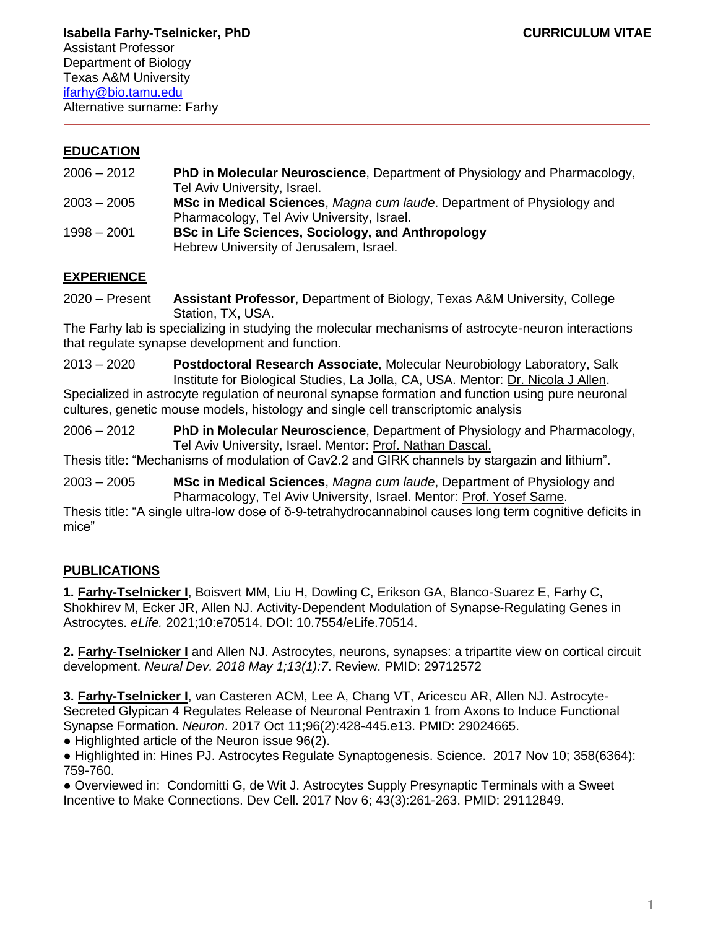#### **EDUCATION**

- 2006 2012 **PhD in Molecular Neuroscience**, Department of Physiology and Pharmacology, Tel Aviv University, Israel.
- 2003 2005 **MSc in Medical Sciences**, *Magna cum laude*. Department of Physiology and Pharmacology, Tel Aviv University, Israel.
- 1998 2001 **BSc in Life Sciences, Sociology, and Anthropology** Hebrew University of Jerusalem, Israel.

#### **EXPERIENCE**

2020 – Present **Assistant Professor**, Department of Biology, Texas A&M University, College Station, TX, USA.

The Farhy lab is specializing in studying the molecular mechanisms of astrocyte-neuron interactions that regulate synapse development and function.

2013 – 2020 **Postdoctoral Research Associate**, Molecular Neurobiology Laboratory, Salk Institute for Biological Studies, La Jolla, CA, USA. Mentor: Dr. Nicola J Allen.

Specialized in astrocyte regulation of neuronal synapse formation and function using pure neuronal cultures, genetic mouse models, histology and single cell transcriptomic analysis

2006 – 2012 **PhD in Molecular Neuroscience**, Department of Physiology and Pharmacology, Tel Aviv University, Israel. Mentor: Prof. Nathan Dascal.

Thesis title: "Mechanisms of modulation of Cav2.2 and GIRK channels by stargazin and lithium".

2003 – 2005 **MSc in Medical Sciences**, *Magna cum laude*, Department of Physiology and Pharmacology, Tel Aviv University, Israel. Mentor: Prof. Yosef Sarne.

Thesis title: "A single ultra-low dose of δ-9-tetrahydrocannabinol causes long term cognitive deficits in mice"

# **PUBLICATIONS**

**1. Farhy-Tselnicker I**, Boisvert MM, Liu H, Dowling C, Erikson GA, Blanco-Suarez E, Farhy C, Shokhirev M, Ecker JR, Allen NJ. Activity-Dependent Modulation of Synapse-Regulating Genes in Astrocytes. *eLife.* 2021;10:e70514. DOI: 10.7554/eLife.70514.

**2. Farhy-Tselnicker I** and Allen NJ. Astrocytes, neurons, synapses: a tripartite view on cortical circuit development. *Neural Dev. 2018 May 1;13(1):7*. Review. PMID: 29712572

**3. Farhy-Tselnicker I**, van Casteren ACM, Lee A, Chang VT, Aricescu AR, Allen NJ. Astrocyte-Secreted Glypican 4 Regulates Release of Neuronal Pentraxin 1 from Axons to Induce Functional Synapse Formation. *Neuron*. 2017 Oct 11;96(2):428-445.e13. PMID: 29024665.

● Highlighted article of the Neuron issue 96(2).

● Highlighted in: Hines PJ. Astrocytes Regulate Synaptogenesis. Science. 2017 Nov 10; 358(6364): 759-760.

● Overviewed in: Condomitti G, de Wit J. Astrocytes Supply Presynaptic Terminals with a Sweet Incentive to Make Connections. Dev Cell. 2017 Nov 6; 43(3):261-263. PMID: 29112849.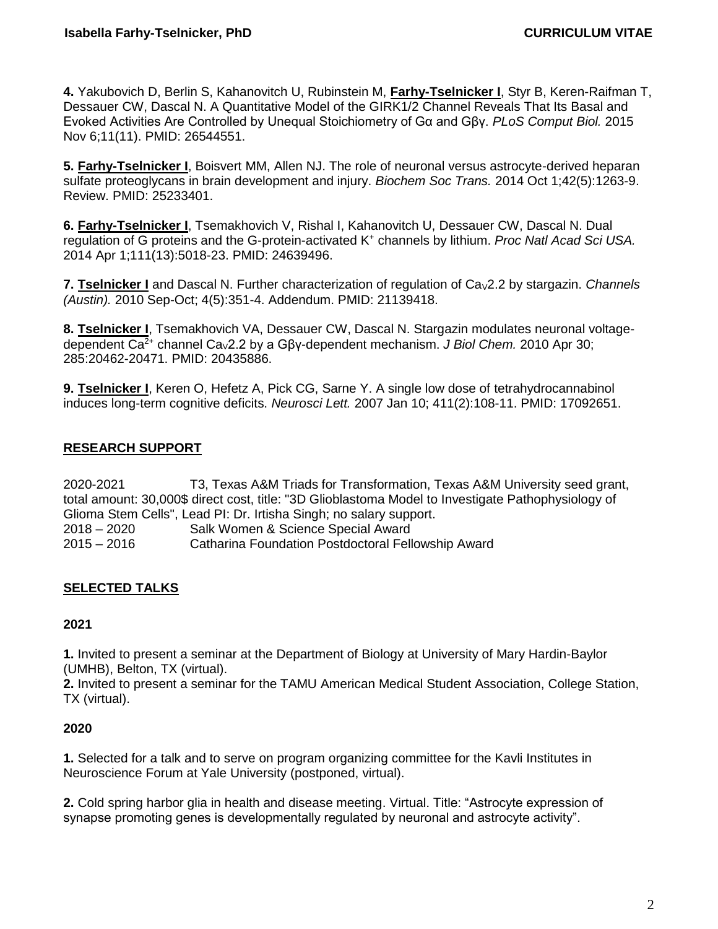**4.** Yakubovich D, Berlin S, Kahanovitch U, Rubinstein M, **Farhy-Tselnicker I**, Styr B, Keren-Raifman T, Dessauer CW, Dascal N. A Quantitative Model of the GIRK1/2 Channel Reveals That Its Basal and Evoked Activities Are Controlled by Unequal Stoichiometry of Gα and Gβγ. *PLoS Comput Biol.* 2015 Nov 6;11(11). PMID: 26544551.

**5. Farhy-Tselnicker I**, Boisvert MM, Allen NJ. The role of neuronal versus astrocyte-derived heparan sulfate proteoglycans in brain development and injury. *Biochem Soc Trans.* 2014 Oct 1;42(5):1263-9. Review. PMID: 25233401.

**6. Farhy-Tselnicker I**, Tsemakhovich V, Rishal I, Kahanovitch U, Dessauer CW, Dascal N. Dual regulation of G proteins and the G-protein-activated K<sup>+</sup> channels by lithium. *Proc Natl Acad Sci USA.* 2014 Apr 1;111(13):5018-23. PMID: 24639496.

**7. Tselnicker I** and Dascal N. Further characterization of regulation of Ca<sub>V</sub>2.2 by stargazin. *Channels (Austin).* 2010 Sep-Oct; 4(5):351-4. Addendum. PMID: 21139418.

**8. Tselnicker I**, Tsemakhovich VA, Dessauer CW, Dascal N. Stargazin modulates neuronal voltagedependent Ca2+ channel CaV2.2 by a Gβγ-dependent mechanism. *J Biol Chem.* 2010 Apr 30; 285:20462-20471. PMID: 20435886.

**9. Tselnicker I**, Keren O, Hefetz A, Pick CG, Sarne Y. A single low dose of tetrahydrocannabinol induces long-term cognitive deficits. *Neurosci Lett.* 2007 Jan 10; 411(2):108-11. PMID: 17092651.

## **RESEARCH SUPPORT**

2020-2021 T3, Texas A&M Triads for Transformation, Texas A&M University seed grant, total amount: 30,000\$ direct cost, title: "3D Glioblastoma Model to Investigate Pathophysiology of Glioma Stem Cells", Lead PI: Dr. Irtisha Singh; no salary support.

2018 – 2020 Salk Women & Science Special Award 2015 – 2016 Catharina Foundation Postdoctoral Fellowship Award

## **SELECTED TALKS**

#### **2021**

**1.** Invited to present a seminar at the Department of Biology at University of Mary Hardin-Baylor (UMHB), Belton, TX (virtual).

**2.** Invited to present a seminar for the TAMU American Medical Student Association, College Station, TX (virtual).

#### **2020**

**1.** Selected for a talk and to serve on program organizing committee for the Kavli Institutes in Neuroscience Forum at Yale University (postponed, virtual).

**2.** Cold spring harbor glia in health and disease meeting. Virtual. Title: "Astrocyte expression of synapse promoting genes is developmentally regulated by neuronal and astrocyte activity".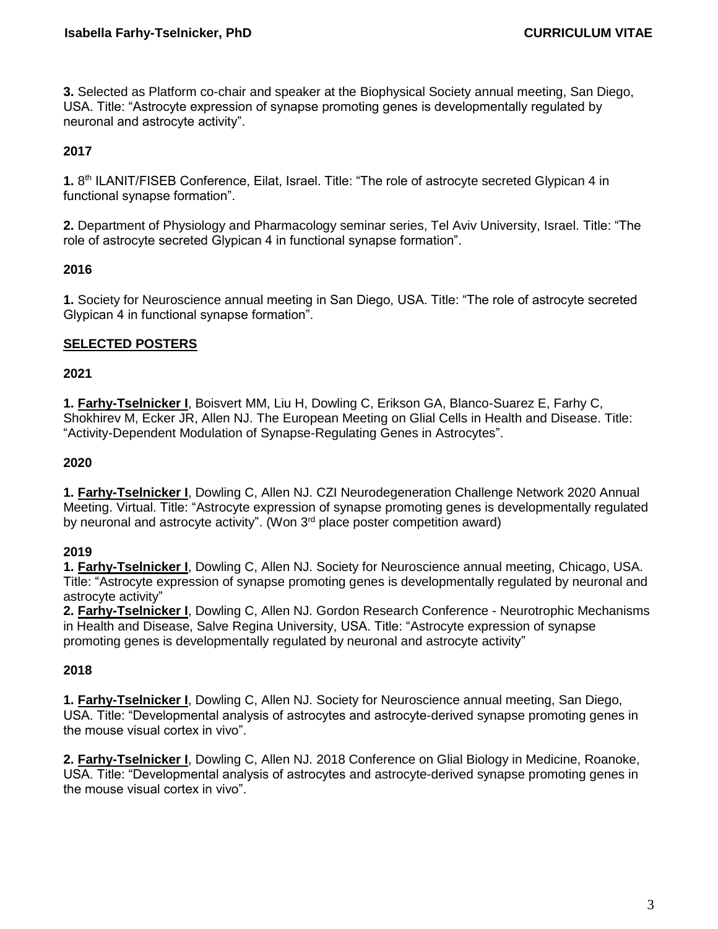**3.** Selected as Platform co-chair and speaker at the Biophysical Society annual meeting, San Diego, USA. Title: "Astrocyte expression of synapse promoting genes is developmentally regulated by neuronal and astrocyte activity".

## **2017**

1. 8<sup>th</sup> ILANIT/FISEB Conference, Eilat, Israel. Title: "The role of astrocyte secreted Glypican 4 in functional synapse formation".

**2.** Department of Physiology and Pharmacology seminar series, Tel Aviv University, Israel. Title: "The role of astrocyte secreted Glypican 4 in functional synapse formation".

## **2016**

**1.** Society for Neuroscience annual meeting in San Diego, USA. Title: "The role of astrocyte secreted Glypican 4 in functional synapse formation".

## **SELECTED POSTERS**

#### **2021**

**1. Farhy-Tselnicker I**, Boisvert MM, Liu H, Dowling C, Erikson GA, Blanco-Suarez E, Farhy C, Shokhirev M, Ecker JR, Allen NJ. The European Meeting on Glial Cells in Health and Disease. Title: "Activity-Dependent Modulation of Synapse-Regulating Genes in Astrocytes".

#### **2020**

**1. Farhy-Tselnicker I**, Dowling C, Allen NJ. CZI Neurodegeneration Challenge Network 2020 Annual Meeting. Virtual. Title: "Astrocyte expression of synapse promoting genes is developmentally regulated by neuronal and astrocyte activity". (Won 3<sup>rd</sup> place poster competition award)

#### **2019**

**1. Farhy-Tselnicker I**, Dowling C, Allen NJ. Society for Neuroscience annual meeting, Chicago, USA. Title: "Astrocyte expression of synapse promoting genes is developmentally regulated by neuronal and astrocyte activity"

**2. Farhy-Tselnicker I**, Dowling C, Allen NJ. Gordon Research Conference - Neurotrophic Mechanisms in Health and Disease, Salve Regina University, USA. Title: "Astrocyte expression of synapse promoting genes is developmentally regulated by neuronal and astrocyte activity"

## **2018**

**1. Farhy-Tselnicker I**, Dowling C, Allen NJ. Society for Neuroscience annual meeting, San Diego, USA. Title: "Developmental analysis of astrocytes and astrocyte-derived synapse promoting genes in the mouse visual cortex in vivo".

**2. Farhy-Tselnicker I**, Dowling C, Allen NJ. 2018 Conference on Glial Biology in Medicine, Roanoke, USA. Title: "Developmental analysis of astrocytes and astrocyte-derived synapse promoting genes in the mouse visual cortex in vivo".